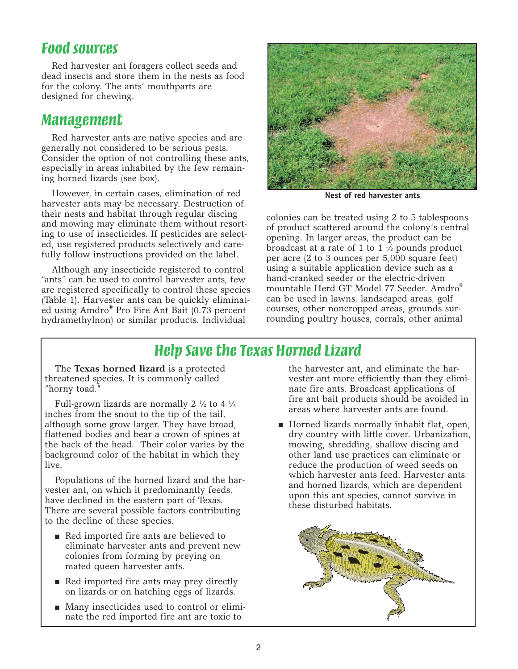## *Food sources*

Red harvester ant foragers collect seeds and dead insects and store them in the nests as food for the colony. The ants' mouthparts are designed for chewing.

#### *Management*

Red harvester ants are native species and are generally not considered to be serious pests. Consider the option of not controlling these ants, especially in areas inhabited by the few remaining horned lizards (see box).

However, in certain cases, elimination of red harvester ants may be necessary. Destruction of their nests and habitat through regular discing and mowing may eliminate them without resorting to use of insecticides. If pesticides are selected, use registered products selectively and carefully follow instructions provided on the label.

Although any insecticide registered to control "ants" can be used to control harvester ants, few are registered specifically to control these species (Table 1). Harvester ants can be quickly eliminated using Amdro® Pro Fire Ant Bait (0.73 percent hydramethylnon) or similar products. Individual



**Nest of red harvester ants**

colonies can be treated using 2 to 5 tablespoons of product scattered around the colony's central opening. In larger areas, the product can be broadcast at a rate of 1 to 1 1 ⁄2 pounds product per acre (2 to 3 ounces per 5,000 square feet) using a suitable application device such as a hand-cranked seeder or the electric-driven mountable Herd GT Model 77 Seeder. Amdro® can be used in lawns, landscaped areas, golf courses, other noncropped areas, grounds surrounding poultry houses, corrals, other animal

# *Help Save the Texas Horned Lizard*

The **Texas horned lizard** is a protected threatened species. It is commonly called "horny toad."

Full-grown lizards are normally 2 1 ⁄2 to 4 1 ⁄4 inches from the snout to the tip of the tail, although some grow larger. They have broad, flattened bodies and bear a crown of spines at the back of the head. Their color varies by the background color of the habitat in which they live.

Populations of the horned lizard and the harvester ant, on which it predominantly feeds, have declined in the eastern part of Texas. There are several possible factors contributing to the decline of these species.

- Red imported fire ants are believed to eliminate harvester ants and prevent new colonies from forming by preying on mated queen harvester ants.
- Red imported fire ants may prey directly on lizards or on hatching eggs of lizards.
- Many insecticides used to control or eliminate the red imported fire ant are toxic to

the harvester ant, and eliminate the harvester ant more efficiently than they eliminate fire ants. Broadcast applications of fire ant bait products should be avoided in areas where harvester ants are found.

■ Horned lizards normally inhabit flat, open, dry country with little cover. Urbanization, mowing, shredding, shallow discing and other land use practices can eliminate or reduce the production of weed seeds on which harvester ants feed. Harvester ants and horned lizards, which are dependent upon this ant species, cannot survive in these disturbed habitats.

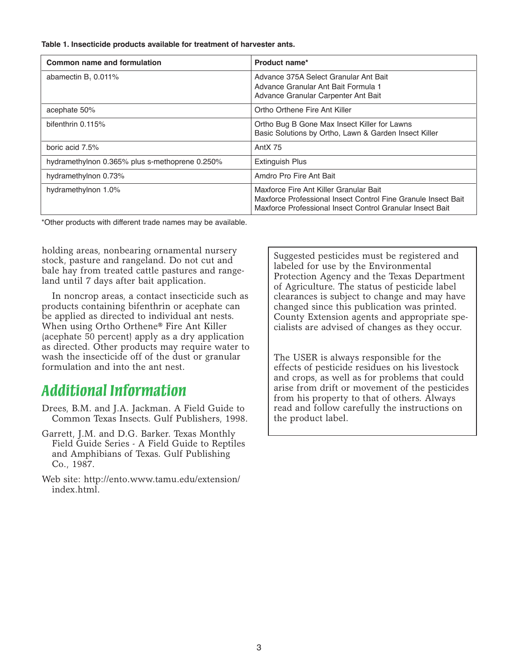**Table 1. Insecticide products available for treatment of harvester ants.**

| Common name and formulation                    | Product name*                                                                                                                                                        |
|------------------------------------------------|----------------------------------------------------------------------------------------------------------------------------------------------------------------------|
| abamectin $B1 0.011%$                          | Advance 375A Select Granular Ant Bait<br>Advance Granular Ant Bait Formula 1<br>Advance Granular Carpenter Ant Bait                                                  |
| acephate 50%                                   | Ortho Orthene Fire Ant Killer                                                                                                                                        |
| bifenthrin 0.115%                              | Ortho Bug B Gone Max Insect Killer for Lawns<br>Basic Solutions by Ortho, Lawn & Garden Insect Killer                                                                |
| boric acid 7.5%                                | Ant $X$ 75                                                                                                                                                           |
| hydramethylnon 0.365% plus s-methoprene 0.250% | <b>Extinguish Plus</b>                                                                                                                                               |
| hydramethylnon 0.73%                           | Amdro Pro Fire Ant Bait                                                                                                                                              |
| hydramethylnon 1.0%                            | Maxforce Fire Ant Killer Granular Bait<br>Maxforce Professional Insect Control Fine Granule Insect Bait<br>Maxforce Professional Insect Control Granular Insect Bait |

\*Other products with different trade names may be available.

holding areas, nonbearing ornamental nursery stock, pasture and rangeland. Do not cut and bale hay from treated cattle pastures and rangeland until 7 days after bait application.

In noncrop areas, a contact insecticide such as products containing bifenthrin or acephate can be applied as directed to individual ant nests. When using Ortho Orthene® Fire Ant Killer (acephate 50 percent) apply as a dry application as directed. Other products may require water to wash the insecticide off of the dust or granular formulation and into the ant nest.

## *Additional Information*

- Drees, B.M. and J.A. Jackman. A Field Guide to Common Texas Insects. Gulf Publishers, 1998.
- Garrett, J.M. and D.G. Barker. Texas Monthly Field Guide Series - A Field Guide to Reptiles and Amphibians of Texas. Gulf Publishing Co., 1987.
- Web site: http://ento.www.tamu.edu/extension/ index.html.

Suggested pesticides must be registered and labeled for use by the Environmental Protection Agency and the Texas Department of Agriculture. The status of pesticide label clearances is subject to change and may have changed since this publication was printed. County Extension agents and appropriate specialists are advised of changes as they occur.

The USER is always responsible for the effects of pesticide residues on his livestock and crops, as well as for problems that could arise from drift or movement of the pesticides from his property to that of others. Always read and follow carefully the instructions on the product label.